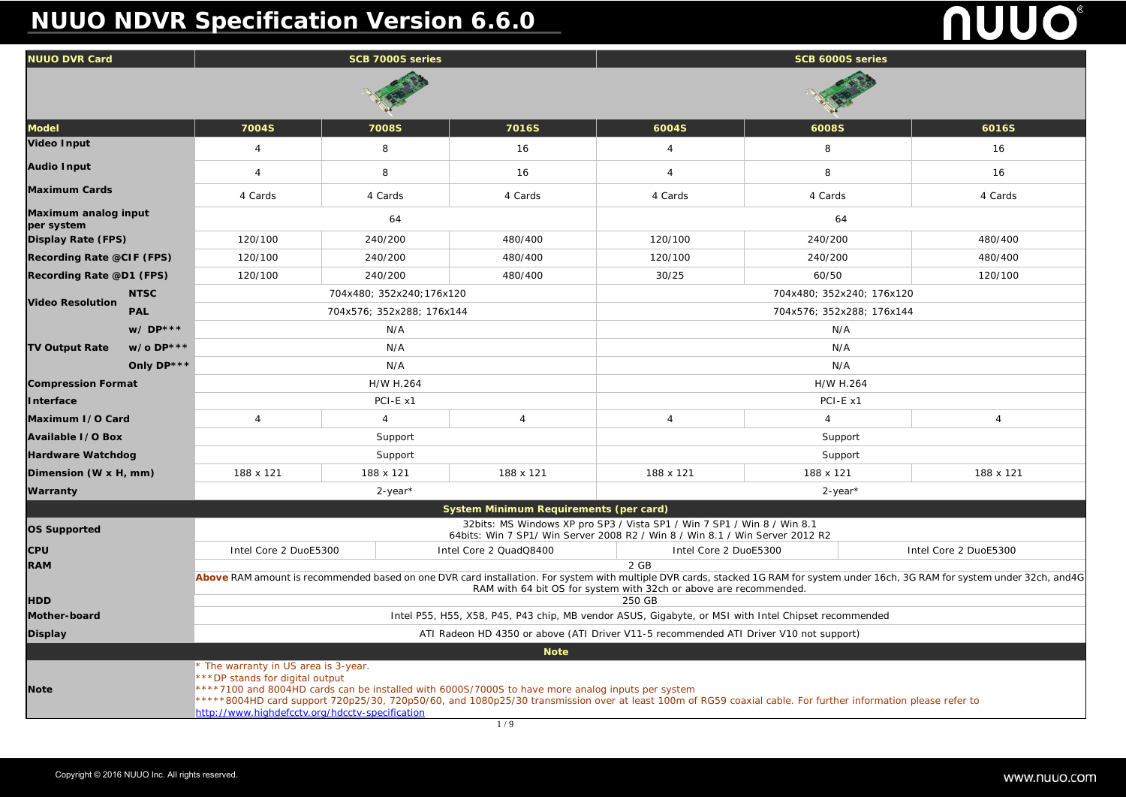# **NUUO NDVR Specification Version 6.6.0**

|                                                | 6016S     |  |  |  |  |  |  |
|------------------------------------------------|-----------|--|--|--|--|--|--|
|                                                | 16        |  |  |  |  |  |  |
|                                                | 16        |  |  |  |  |  |  |
|                                                | 4 Cards   |  |  |  |  |  |  |
|                                                |           |  |  |  |  |  |  |
|                                                | 480/400   |  |  |  |  |  |  |
|                                                | 480/400   |  |  |  |  |  |  |
|                                                | 120/100   |  |  |  |  |  |  |
| 40; 176x120                                    |           |  |  |  |  |  |  |
| 88; 176x144                                    |           |  |  |  |  |  |  |
|                                                |           |  |  |  |  |  |  |
|                                                |           |  |  |  |  |  |  |
|                                                |           |  |  |  |  |  |  |
| 264                                            |           |  |  |  |  |  |  |
| x1                                             |           |  |  |  |  |  |  |
|                                                | 4         |  |  |  |  |  |  |
| rt                                             |           |  |  |  |  |  |  |
| rt                                             |           |  |  |  |  |  |  |
|                                                | 188 x 121 |  |  |  |  |  |  |
| -*                                             |           |  |  |  |  |  |  |
|                                                |           |  |  |  |  |  |  |
|                                                |           |  |  |  |  |  |  |
| Intel Core 2 DuoE5300                          |           |  |  |  |  |  |  |
|                                                |           |  |  |  |  |  |  |
| nder 16ch, 3G RAM for system under 32ch, and4G |           |  |  |  |  |  |  |
|                                                |           |  |  |  |  |  |  |
| mended                                         |           |  |  |  |  |  |  |
| t)                                             |           |  |  |  |  |  |  |
|                                                |           |  |  |  |  |  |  |
|                                                |           |  |  |  |  |  |  |
|                                                |           |  |  |  |  |  |  |
| information please refer to                    |           |  |  |  |  |  |  |

| <b>NUUO DVR Card</b>               |             | SCB 7000S series                                                                                                                                                                                                                                                                                                                                                                                |                      |                                        | SCB 6000S series      |              |                          |  |
|------------------------------------|-------------|-------------------------------------------------------------------------------------------------------------------------------------------------------------------------------------------------------------------------------------------------------------------------------------------------------------------------------------------------------------------------------------------------|----------------------|----------------------------------------|-----------------------|--------------|--------------------------|--|
|                                    |             |                                                                                                                                                                                                                                                                                                                                                                                                 |                      |                                        |                       |              |                          |  |
| <b>Model</b>                       |             | 7004S                                                                                                                                                                                                                                                                                                                                                                                           | <b>7008S</b>         | <b>7016S</b>                           | 6004S                 | <b>6008S</b> | 6016S                    |  |
| <b>Video Input</b>                 |             | 4                                                                                                                                                                                                                                                                                                                                                                                               | 8                    | 16                                     | 4                     | 8            | 16                       |  |
| <b>Audio Input</b>                 |             | 4                                                                                                                                                                                                                                                                                                                                                                                               | 8                    | 16                                     | 4                     | 8            | 16                       |  |
| <b>Maximum Cards</b>               |             | 4 Cards                                                                                                                                                                                                                                                                                                                                                                                         | 4 Cards              | 4 Cards                                | 4 Cards               | 4 Cards      | 4 Cards                  |  |
| Maximum analog input<br>per system |             | 64                                                                                                                                                                                                                                                                                                                                                                                              |                      |                                        | 64                    |              |                          |  |
| <b>Display Rate (FPS)</b>          |             | 120/100                                                                                                                                                                                                                                                                                                                                                                                         | 240/200              | 480/400                                | 120/100               | 240/200      | 480/400                  |  |
| <b>Recording Rate @CIF (FPS)</b>   |             | 120/100                                                                                                                                                                                                                                                                                                                                                                                         | 240/200              | 480/400                                | 120/100               | 240/200      | 480/400                  |  |
| <b>Recording Rate @D1 (FPS)</b>    |             | 120/100                                                                                                                                                                                                                                                                                                                                                                                         | 240/200              | 480/400                                | 30/25                 | 60/50        | 120/100                  |  |
| <b>Video Resolution</b>            | <b>NTSC</b> | 704x480; 352x240; 176x120<br>704x480; 352x240; 176x120                                                                                                                                                                                                                                                                                                                                          |                      |                                        |                       |              |                          |  |
|                                    | <b>PAL</b>  | 704x576; 352x288; 176x144<br>704x576; 352x288; 176x144                                                                                                                                                                                                                                                                                                                                          |                      |                                        |                       |              |                          |  |
|                                    | w/DP***     |                                                                                                                                                                                                                                                                                                                                                                                                 | N/A                  |                                        |                       | N/A          |                          |  |
| <b>TV Output Rate</b>              | w/o DP***   | N/A                                                                                                                                                                                                                                                                                                                                                                                             |                      |                                        | N/A                   |              |                          |  |
|                                    | Only DP***  | N/A<br>N/A                                                                                                                                                                                                                                                                                                                                                                                      |                      |                                        |                       |              |                          |  |
| <b>Compression Format</b>          |             | H/W H.264<br>H/W H.264                                                                                                                                                                                                                                                                                                                                                                          |                      |                                        |                       |              |                          |  |
| Interface                          |             |                                                                                                                                                                                                                                                                                                                                                                                                 | PCI-E x1<br>PCI-E x1 |                                        |                       |              |                          |  |
| Maximum I/O Card                   |             | $\overline{4}$                                                                                                                                                                                                                                                                                                                                                                                  |                      | 4                                      | 4                     |              | $\boldsymbol{\varDelta}$ |  |
| <b>Available I/O Box</b>           |             | Support<br>Support                                                                                                                                                                                                                                                                                                                                                                              |                      |                                        |                       |              |                          |  |
| <b>Hardware Watchdog</b>           |             |                                                                                                                                                                                                                                                                                                                                                                                                 | Support              |                                        | Support               |              |                          |  |
| Dimension (W x H, mm)              |             | 188 x 121                                                                                                                                                                                                                                                                                                                                                                                       | 188 x 121            | 188 x 121                              | 188 x 121             | 188 x 121    | 188 x 121                |  |
| Warranty                           |             | $2$ -year*<br>$2$ -year*                                                                                                                                                                                                                                                                                                                                                                        |                      |                                        |                       |              |                          |  |
|                                    |             |                                                                                                                                                                                                                                                                                                                                                                                                 |                      | System Minimum Requirements (per card) |                       |              |                          |  |
| <b>OS Supported</b>                |             | 32bits: MS Windows XP pro SP3 / Vista SP1 / Win 7 SP1 / Win 8 / Win 8.1<br>64bits: Win 7 SP1/ Win Server 2008 R2 / Win 8 / Win 8.1 / Win Server 2012 R2                                                                                                                                                                                                                                         |                      |                                        |                       |              |                          |  |
| <b>CPU</b>                         |             | Intel Core 2 DuoE5300                                                                                                                                                                                                                                                                                                                                                                           |                      | Intel Core 2 QuadQ8400                 | Intel Core 2 DuoE5300 |              | Intel Core 2 DuoE5300    |  |
| <b>RAM</b>                         |             | 2 GB                                                                                                                                                                                                                                                                                                                                                                                            |                      |                                        |                       |              |                          |  |
|                                    |             | Above RAM amount is recommended based on one DVR card installation. For system with multiple DVR cards, stacked 1G RAM for system under 16ch, 3G RAM for system under 32ch, and 4G<br>RAM with 64 bit OS for system with 32ch or above are recommended.                                                                                                                                         |                      |                                        |                       |              |                          |  |
| <b>HDD</b>                         |             | 250 GB                                                                                                                                                                                                                                                                                                                                                                                          |                      |                                        |                       |              |                          |  |
| Mother-board                       |             | Intel P55, H55, X58, P45, P43 chip, MB vendor ASUS, Gigabyte, or MSI with Intel Chipset recommended                                                                                                                                                                                                                                                                                             |                      |                                        |                       |              |                          |  |
| <b>Display</b>                     |             | ATI Radeon HD 4350 or above (ATI Driver V11-5 recommended ATI Driver V10 not support)                                                                                                                                                                                                                                                                                                           |                      |                                        |                       |              |                          |  |
|                                    |             |                                                                                                                                                                                                                                                                                                                                                                                                 |                      | <b>Note</b>                            |                       |              |                          |  |
| <b>Note</b>                        |             | * The warranty in US area is 3-year.<br>***DP stands for digital output<br>****7100 and 8004HD cards can be installed with 6000S/7000S to have more analog inputs per system<br>*****8004HD card support 720p25/30, 720p50/60, and 1080p25/30 transmission over at least 100m of RG59 coaxial cable. For further information please refer to<br>http://www.highdefcctv.org/hdcctv-specification |                      |                                        |                       |              |                          |  |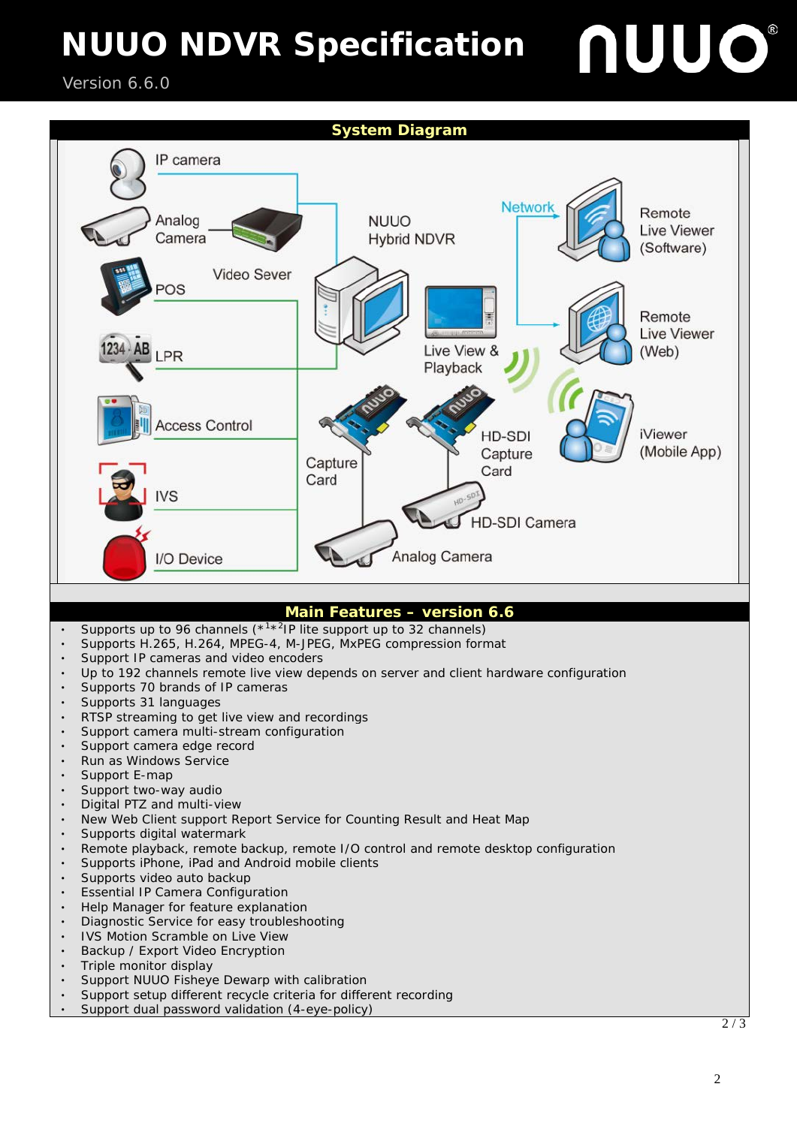#### Version 6.6.0

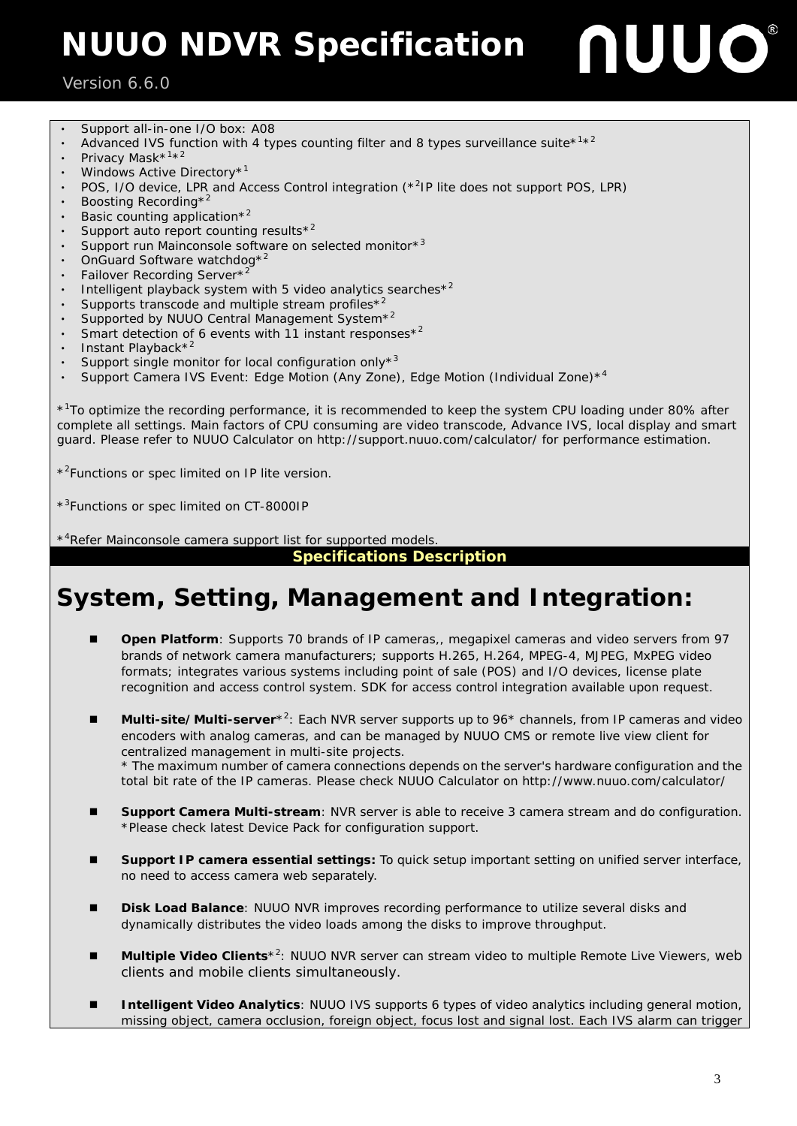#### Version 6.6.0 Ξ

- Support all-in-one I/O box: A08
- Advanced IVS function with 4 types counting filter and 8 types surveillance suite $*1*2$
- Privacy Mask\*<sup>1\*2</sup>
- Windows Active Directory\*<sup>1</sup>
- POS, I/O device, LPR and Access Control integration (\*2IP lite does not support POS, LPR)
- Boosting Recording\*
- Basic counting application\*<sup>2</sup>
- Support auto report counting results $*^2$
- Support run Mainconsole software on selected monitor\*<sup>3</sup>
- OnGuard Software watchdog<sup>\*2</sup>
- Failover Recording Server\*<sup>2</sup>
- Intelligent playback system with 5 video analytics searches $*^2$
- Supports transcode and multiple stream profiles<sup> $*^2$ </sup>
- Supported by NUUO Central Management System<sup>\*2</sup>
- Smart detection of 6 events with 11 instant responses $*^2$
- Instant Playback\*<sup>2</sup>
- Support single monitor for local configuration only $*^3$
- Support Camera IVS Event: Edge Motion (Any Zone), Edge Motion (Individual Zone)\*<sup>4</sup>

\*<sup>1</sup>To optimize the recording performance, it is recommended to keep the system CPU loading under 80% after complete all settings. Main factors of CPU consuming are video transcode, Advance IVS, local display and smart guard. Please refer to NUUO Calculator on<http://support.nuuo.com/calculator/> for performance estimation.

\*<sup>2</sup> Functions or spec limited on IP lite version.

\*<sup>3</sup>Functions or spec limited on CT-8000IP

\*<sup>4</sup>Refer Mainconsole camera support list for supported models.

**Specifications Description**

### **System, Setting, Management and Integration:**

- **Open Platform**: Supports 70 brands of IP cameras,, megapixel cameras and video servers from 97 brands of network camera manufacturers; supports H.265, H.264, MPEG-4, MJPEG, MxPEG video formats; integrates various systems including point of sale (POS) and I/O devices, license plate recognition and access control system. SDK for access control integration available upon request.
- **Multi-site/Multi-server**<sup>\*2</sup>: Each NVR server supports up to 96<sup>\*</sup> channels, from IP cameras and video encoders with analog cameras, and can be managed by NUUO CMS or remote live view client for centralized management in multi-site projects. \* The maximum number of camera connections depends on the server's hardware configuration and the total bit rate of the IP cameras. Please check NUUO Calculator on<http://www.nuuo.com/calculator/>
- **Support Camera Multi-stream**: NVR server is able to receive 3 camera stream and do configuration. \*Please check latest Device Pack for configuration support.
- **Support IP camera essential settings:** To quick setup important setting on unified server interface, no need to access camera web separately.
- **Disk Load Balance**: NUUO NVR improves recording performance to utilize several disks and dynamically distributes the video loads among the disks to improve throughput.
- Multiple Video Clients<sup>\*2</sup>: NUUO NVR server can stream video to multiple Remote Live Viewers, web clients and mobile clients simultaneously.
- missing object, camera occlusion, foreign object, focus lost and signal lost. Each IVS alarm can trigger **Intelligent Video Analytics**: NUUO IVS supports 6 types of video analytics including general motion,

JUO

ſ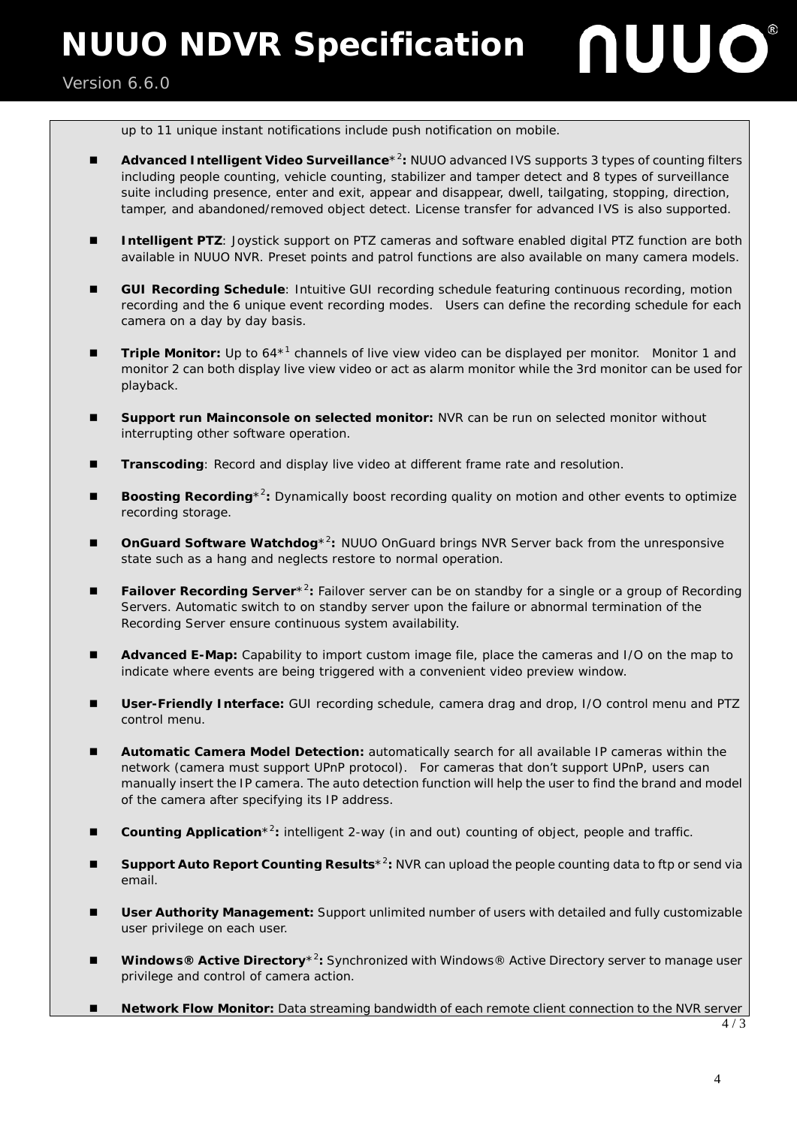Version 6.6.0 Ξ



up to 11 unique instant notifications include push notification on mobile.

- Advanced Intelligent Video Surveillance<sup>\*2</sup>: NUUO advanced IVS supports 3 types of counting filters including people counting, vehicle counting, stabilizer and tamper detect and 8 types of surveillance suite including presence, enter and exit, appear and disappear, dwell, tailgating, stopping, direction, tamper, and abandoned/removed object detect. License transfer for advanced IVS is also supported.
- Intelligent PTZ: Joystick support on PTZ cameras and software enabled digital PTZ function are both available in NUUO NVR. Preset points and patrol functions are also available on many camera models.
- **GUI Recording Schedule**: Intuitive GUI recording schedule featuring continuous recording, motion recording and the 6 unique event recording modes. Users can define the recording schedule for each camera on a day by day basis.
- Triple Monitor: Up to 64<sup>\*1</sup> channels of live view video can be displayed per monitor. Monitor 1 and monitor 2 can both display live view video or act as alarm monitor while the 3rd monitor can be used for playback.
- **Support run Mainconsole on selected monitor:** NVR can be run on selected monitor without interrupting other software operation.
- **Transcoding**: Record and display live video at different frame rate and resolution.
- **Boosting Recording**<sup>\*2</sup>: Dynamically boost recording quality on motion and other events to optimize recording storage.
- **OnGuard Software Watchdog**<sup>\*2</sup>: NUUO OnGuard brings NVR Server back from the unresponsive state such as a hang and neglects restore to normal operation.
- **Failover Recording Server**<sup>\*2</sup>: Failover server can be on standby for a single or a group of Recording Servers. Automatic switch to on standby server upon the failure or abnormal termination of the Recording Server ensure continuous system availability.
- **Advanced E-Map:** Capability to import custom image file, place the cameras and I/O on the map to indicate where events are being triggered with a convenient video preview window.
- **User-Friendly Interface:** GUI recording schedule, camera drag and drop, I/O control menu and PTZ control menu.
- **Automatic Camera Model Detection:** automatically search for all available IP cameras within the network (camera must support UPnP protocol). For cameras that don't support UPnP, users can manually insert the IP camera. The auto detection function will help the user to find the brand and model of the camera after specifying its IP address.
- **Counting Application**<sup>\*2</sup>: intelligent 2-way (in and out) counting of object, people and traffic.
- Support Auto Report Counting Results<sup>\*2</sup>: NVR can upload the people counting data to ftp or send via email.
- **User Authority Management:** Support unlimited number of users with detailed and fully customizable user privilege on each user.
- Windows® Active Directory<sup>\*2</sup>: Synchronized with Windows® Active Directory server to manage user privilege and control of camera action.
- **Network Flow Monitor:** Data streaming bandwidth of each remote client connection to the NVR server

4 / 3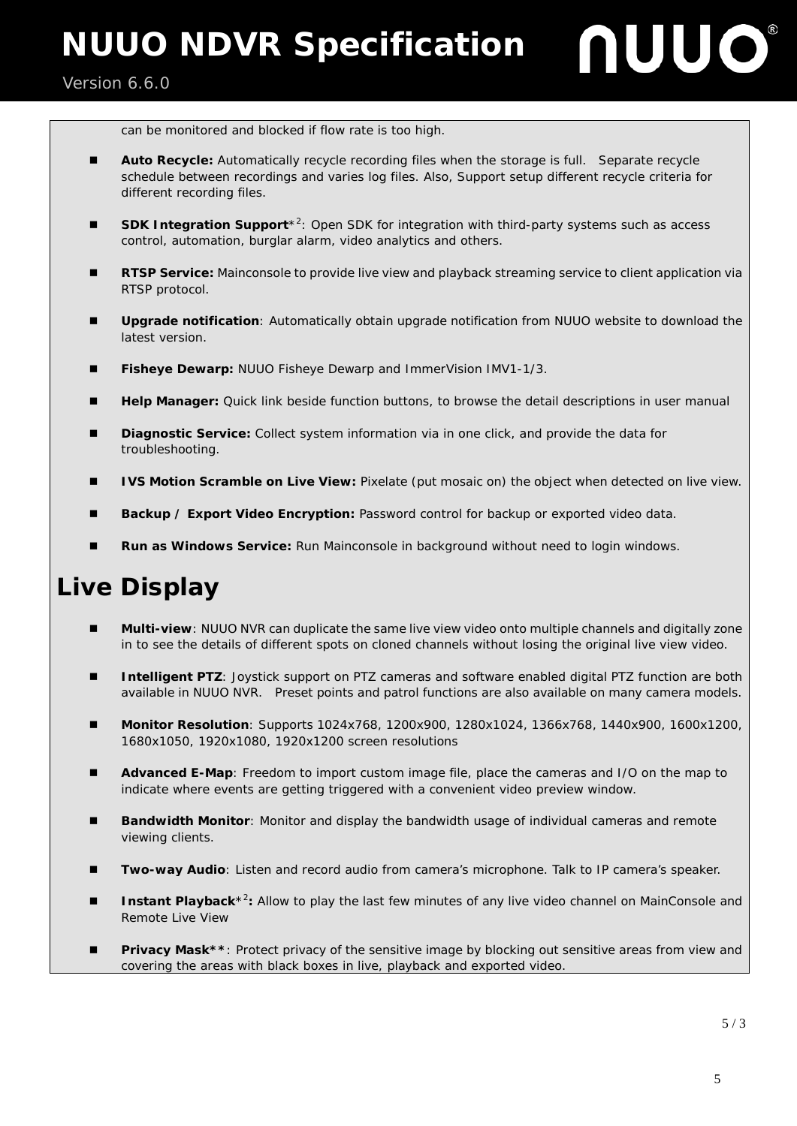#### Version 6.6.0 Ξ

can be monitored and blocked if flow rate is too high.

- **Auto Recycle:** Automatically recycle recording files when the storage is full. Separate recycle schedule between recordings and varies log files. Also, Support setup different recycle criteria for different recording files.
- SDK Integration Support<sup>\*2</sup>: Open SDK for integration with third-party systems such as access control, automation, burglar alarm, video analytics and others.
- **RTSP Service:** Mainconsole to provide live view and playback streaming service to client application via RTSP protocol.
- **Upgrade notification**: Automatically obtain upgrade notification from NUUO website to download the latest version.
- **Fisheye Dewarp: NUUO Fisheye Dewarp and ImmerVision IMV1-1/3.**
- **Help Manager:** Quick link beside function buttons, to browse the detail descriptions in user manual
- **Diagnostic Service:** Collect system information via in one click, and provide the data for troubleshooting.
- **IVS Motion Scramble on Live View: Pixelate (put mosaic on) the object when detected on live view.**
- **Backup / Export Video Encryption:** Password control for backup or exported video data.
- **Run as Windows Service:** Run Mainconsole in background without need to login windows.

### **Live Display**

- **Multi-view**: NUUO NVR can duplicate the same live view video onto multiple channels and digitally zone in to see the details of different spots on cloned channels without losing the original live view video.
- **Intelligent PTZ**: Joystick support on PTZ cameras and software enabled digital PTZ function are both available in NUUO NVR. Preset points and patrol functions are also available on many camera models.
- **Monitor Resolution**: Supports 1024x768, 1200x900, 1280x1024, 1366x768, 1440x900, 1600x1200, 1680x1050, 1920x1080, 1920x1200 screen resolutions
- **Advanced E-Map**: Freedom to import custom image file, place the cameras and I/O on the map to indicate where events are getting triggered with a convenient video preview window.
- **Bandwidth Monitor**: Monitor and display the bandwidth usage of individual cameras and remote viewing clients.
- **Two-way Audio**: Listen and record audio from camera's microphone. Talk to IP camera's speaker.
- **Instant Playback**<sup>\*2</sup>: Allow to play the last few minutes of any live video channel on MainConsole and Remote Live View
- **Privacy Mask\*\*:** Protect privacy of the sensitive image by blocking out sensitive areas from view and covering the areas with black boxes in live, playback and exported video.

JUO

 $\overline{\phantom{a}}$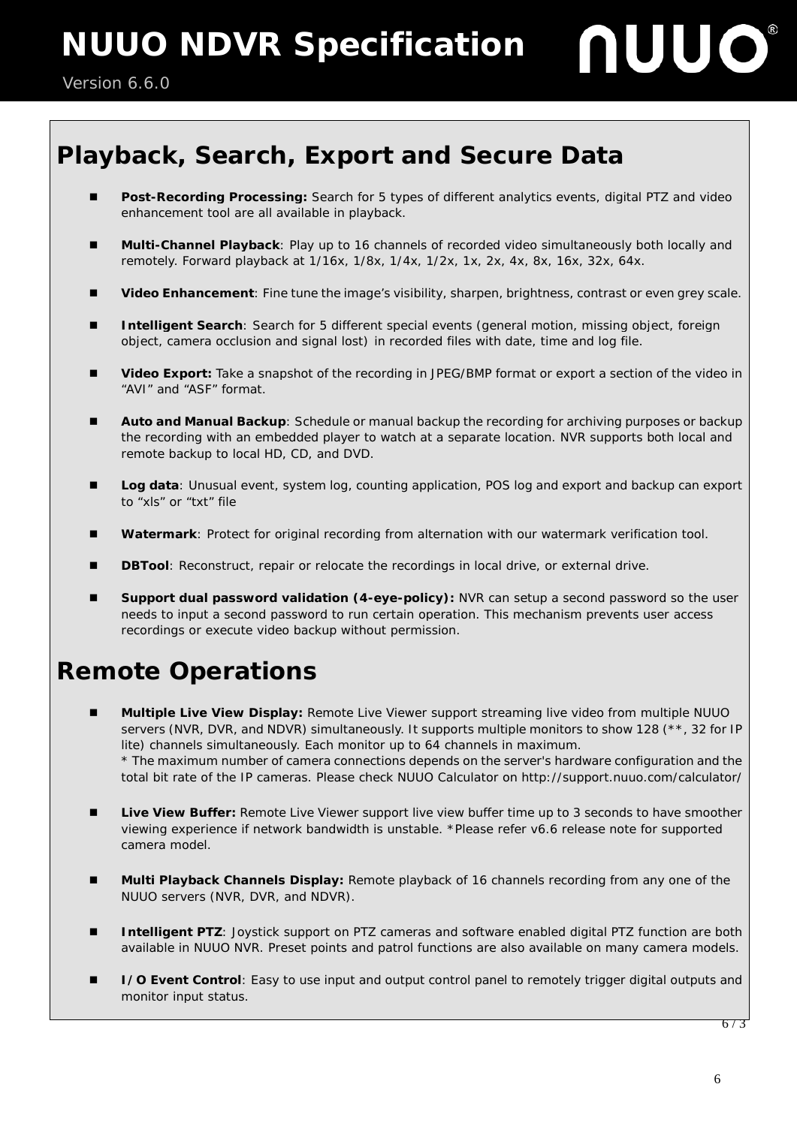## **Playback, Search, Export and Secure Data**

- **Post-Recording Processing:** Search for 5 types of different analytics events, digital PTZ and video enhancement tool are all available in playback.
- **Multi-Channel Playback**: Play up to 16 channels of recorded video simultaneously both locally and remotely. Forward playback at 1/16x, 1/8x, 1/4x, 1/2x, 1x, 2x, 4x, 8x, 16x, 32x, 64x.
- **Video Enhancement**: Fine tune the image's visibility, sharpen, brightness, contrast or even grey scale.
- **Intelligent Search**: Search for 5 different special events (general motion, missing object, foreign object, camera occlusion and signal lost) in recorded files with date, time and log file.
- **Video Export:** Take a snapshot of the recording in JPEG/BMP format or export a section of the video in "AVI" and "ASF" format.
- **Auto and Manual Backup**: Schedule or manual backup the recording for archiving purposes or backup the recording with an embedded player to watch at a separate location. NVR supports both local and remote backup to local HD, CD, and DVD.
- **Log data**: Unusual event, system log, counting application, POS log and export and backup can export to "xls" or "txt" file
- **Watermark**: Protect for original recording from alternation with our watermark verification tool.
- **DBTool:** Reconstruct, repair or relocate the recordings in local drive, or external drive.
- **Support dual password validation (4-eye-policy):** NVR can setup a second password so the user needs to input a second password to run certain operation. This mechanism prevents user access recordings or execute video backup without permission.

## **Remote Operations**

- **Multiple Live View Display:** Remote Live Viewer support streaming live video from multiple NUUO servers (NVR, DVR, and NDVR) simultaneously. It supports multiple monitors to show 128 (\*\*, 32 for IP lite) channels simultaneously. Each monitor up to 64 channels in maximum. \* The maximum number of camera connections depends on the server's hardware configuration and the total bit rate of the IP cameras. Please check NUUO Calculator on<http://support.nuuo.com/calculator/>
- **Live View Buffer:** Remote Live Viewer support live view buffer time up to 3 seconds to have smoother viewing experience if network bandwidth is unstable. \*Please refer v6.6 release note for supported camera model.
- **Multi Playback Channels Display:** Remote playback of 16 channels recording from any one of the NUUO servers (NVR, DVR, and NDVR).
- Intelligent PTZ: Joystick support on PTZ cameras and software enabled digital PTZ function are both available in NUUO NVR. Preset points and patrol functions are also available on many camera models.
- **I** /O Event Control: Easy to use input and output control panel to remotely trigger digital outputs and monitor input status.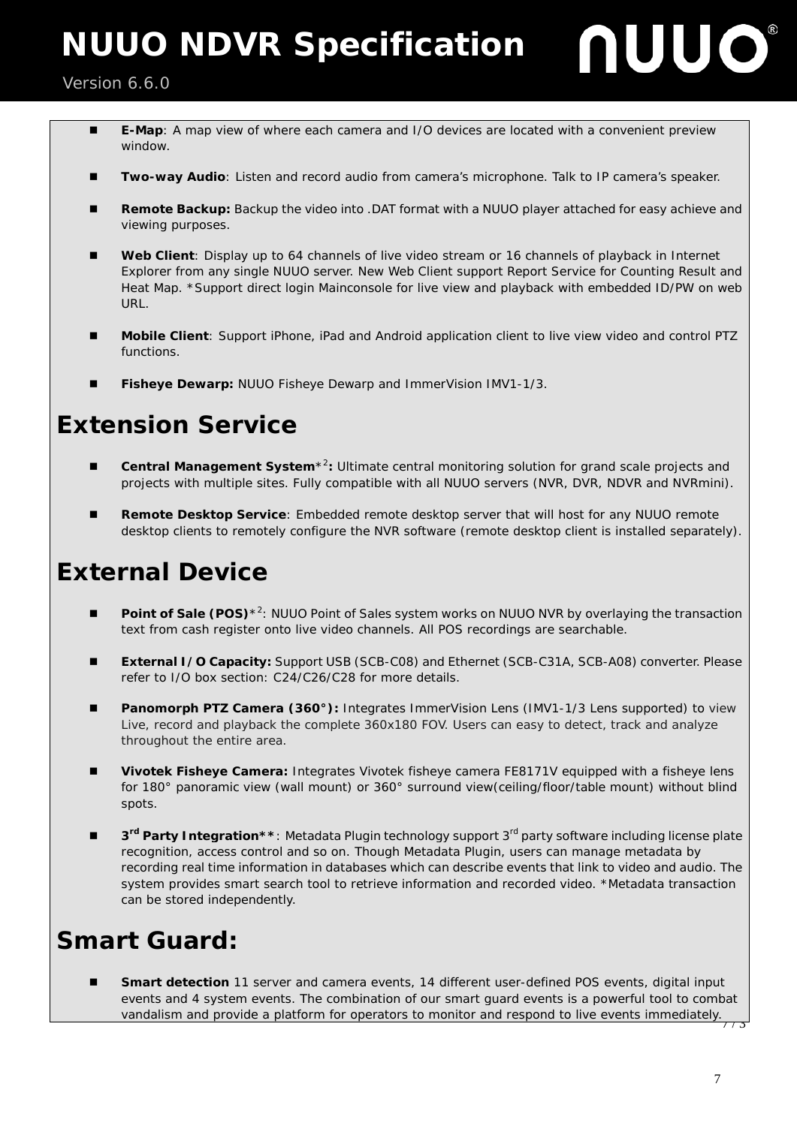#### Version 6.6.0 Ξ

- **E-Map**: A map view of where each camera and I/O devices are located with a convenient preview window.
- **Two-way Audio**: Listen and record audio from camera's microphone. Talk to IP camera's speaker.
- **Remote Backup:** Backup the video into .DAT format with a NUUO player attached for easy achieve and viewing purposes.
- **Web Client**: Display up to 64 channels of live video stream or 16 channels of playback in Internet Explorer from any single NUUO server. New Web Client support Report Service for Counting Result and Heat Map. \*Support direct login Mainconsole for live view and playback with embedded ID/PW on web URL.
- **Mobile Client**: Support iPhone, iPad and Android application client to live view video and control PTZ functions.
- **Fisheye Dewarp:** NUUO Fisheye Dewarp and ImmerVision IMV1-1/3.

#### **Extension Service**

- **Central Management System**<sup>\*2</sup>: Ultimate central monitoring solution for grand scale projects and projects with multiple sites. Fully compatible with all NUUO servers (NVR, DVR, NDVR and NVRmini).
- **Remote Desktop Service**: Embedded remote desktop server that will host for any NUUO remote desktop clients to remotely configure the NVR software (remote desktop client is installed separately).

### **External Device**

- **Point of Sale (POS)**<sup>\*2</sup>: NUUO Point of Sales system works on NUUO NVR by overlaying the transaction text from cash register onto live video channels. All POS recordings are searchable.
- **External I/O Capacity:** Support USB (SCB-C08) and Ethernet (SCB-C31A, SCB-A08) converter. Please refer to I/O box section: C24/C26/C28 for more details.
- **Panomorph PTZ Camera (360°):** Integrates ImmerVision Lens (IMV1-1/3 Lens supported) to view Live, record and playback the complete 360x180 FOV. Users can easy to detect, track and analyze throughout the entire area.
- **Vivotek Fisheye Camera:** Integrates Vivotek fisheye camera FE8171V equipped with a fisheye lens for [180° panoramic view](http://www.vivotek.com/image/support/glossary/180panoramicview.png) (wall mount) or [360° surround view\(](http://www.vivotek.com/image/support/glossary/360surroundview.png)ceiling/floor/table mount) without blind spots.
- **3rd Party Integration\*\***: Metadata Plugin technology support 3rd party software including license plate recognition, access control and so on. Though Metadata Plugin, users can manage metadata by recording real time information in databases which can describe events that link to video and audio. The system provides smart search tool to retrieve information and recorded video. \*Metadata transaction can be stored independently.

## **Smart Guard:**

 $7/3$  **Smart detection** 11 server and camera events, 14 different user-defined POS events, digital input events and 4 system events. The combination of our smart guard events is a powerful tool to combat vandalism and provide a platform for operators to monitor and respond to live events immediately.

**JUO** 

ſ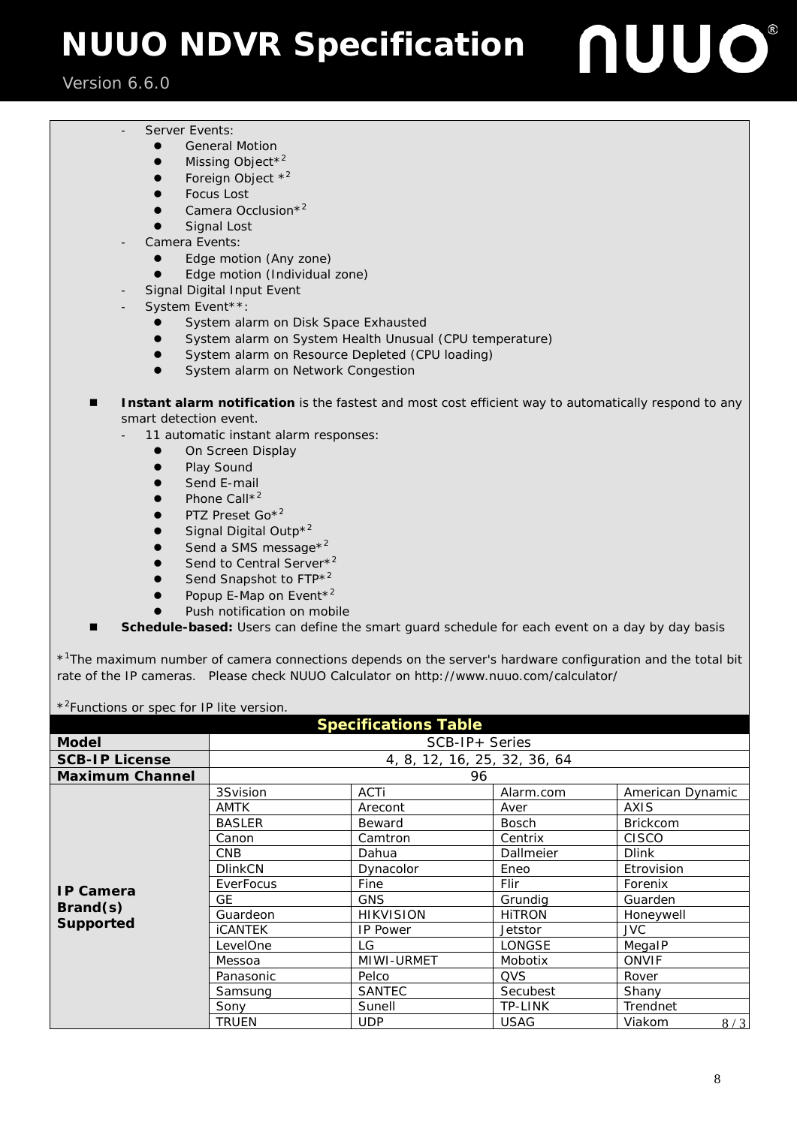#### Version 6.6.0 Ξ

- Server Events:
	- **•** General Motion
	- $\bullet$  Missing Object<sup>\*2</sup>
	- Foreign Object  $*^2$
	- **•** Focus Lost
	- $\bullet$  Camera Occlusion<sup>\*2</sup>
	- **•** Signal Lost
- Camera Events:
	- Edge motion (Any zone)
	- Edge motion (Individual zone)
- Signal Digital Input Event
- System Event\*\*:
	- **System alarm on Disk Space Exhausted**
	- **System alarm on System Health Unusual (CPU temperature)**
	- **•** System alarm on Resource Depleted (CPU loading)
	- **System alarm on Network Congestion**
- **Instant alarm notification** is the fastest and most cost efficient way to automatically respond to any smart detection event.
	- 11 automatic instant alarm responses:
		- **.** On Screen Display
		- Play Sound
		- Send E-mail
		- Phone Call\*<sup>2</sup>
		- PTZ Preset Go\*<sup>2</sup>
		- Signal Digital Outp\*<sup>2</sup>
		- Send a SMS message\*2
		- Send to Central Server<sup>\*2</sup>
		- Send Snapshot to FTP<sup>\*2</sup>
		- Popup E-Map on Event<sup>\*2</sup>
		- Push notification on mobile
- **Schedule-based:** Users can define the smart guard schedule for each event on a day by day basis

\*<sup>1</sup>The maximum number of camera connections depends on the server's hardware configuration and the total bit rate of the IP cameras. Please check NUUO Calculator on<http://www.nuuo.com/calculator/>

\*<sup>2</sup> Functions or spec for IP lite version.

| <b>Specifications Table</b> |                              |                  |               |                  |  |  |
|-----------------------------|------------------------------|------------------|---------------|------------------|--|--|
| <b>Model</b>                | $SCB-IP+ Series$             |                  |               |                  |  |  |
| <b>SCB-IP License</b>       | 4, 8, 12, 16, 25, 32, 36, 64 |                  |               |                  |  |  |
| <b>Maximum Channel</b>      | 96                           |                  |               |                  |  |  |
|                             | 3Svision                     | ACTi             | Alarm.com     | American Dynamic |  |  |
|                             | <b>AMTK</b>                  | Arecont          | Aver          | <b>AXIS</b>      |  |  |
|                             | <b>BASLER</b>                | Beward           | <b>Bosch</b>  | <b>Brickcom</b>  |  |  |
|                             | Canon                        | Camtron          | Centrix       | CISCO            |  |  |
|                             | <b>CNB</b>                   | Dahua            | Dallmeier     | <b>Dlink</b>     |  |  |
|                             | <b>DlinkCN</b>               | Dynacolor        | Eneo          | Etrovision       |  |  |
| <b>IP Camera</b>            | EverFocus                    | Fine             | Flir          | Forenix          |  |  |
|                             | GE                           | <b>GNS</b>       | Grundia       | Guarden          |  |  |
| Brand(s)                    | Guardeon                     | <b>HIKVISION</b> | <b>HITRON</b> | Honeywell        |  |  |
| Supported                   | <b>iCANTEK</b>               | <b>IP Power</b>  | Jetstor       | JVC.             |  |  |
|                             | LevelOne                     | LG               | LONGSE        | MegalP           |  |  |
|                             | Messoa                       | MIWI-URMET       | Mobotix       | ONVIF            |  |  |
|                             | Panasonic                    | Pelco            | <b>QVS</b>    | Rover            |  |  |
|                             | Samsung                      | <b>SANTEC</b>    | Secubest      | Shany            |  |  |
|                             | Sony                         | Sunell           | TP-LINK       | Trendnet         |  |  |
|                             | <b>TRUEN</b>                 | <b>UDP</b>       | <b>USAG</b>   | Viakom<br>8/3    |  |  |

UUO®

 $\overline{\phantom{a}}$